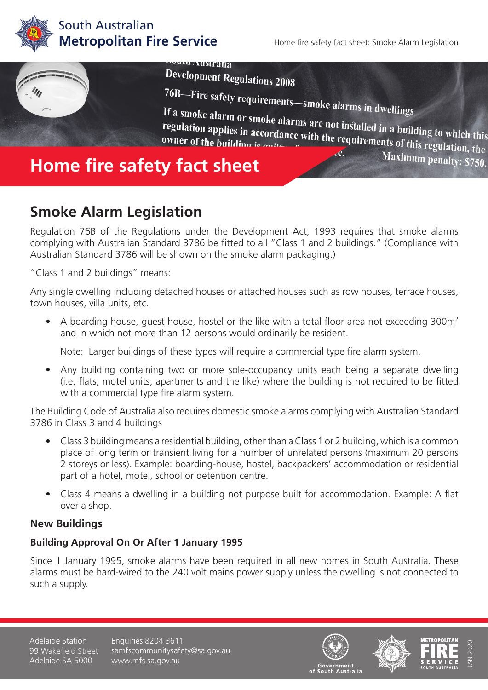

## South Australian **Metropolitan Fire Service**

Home fire safety fact sheet: Smoke Alarm Legislation

Maximum penalty: \$750.



If a smoke alarm or smoke alarms are not installed in a building to which this<br>regulation applies in accordance with the requirements of the building to which this regulation applies in accordance with the requirements of this regulation, the owner of the building is  $\frac{1}{2}$  .... Maximum penalty: \$750. owner of the building is

# **Smoke Alarm Legislation**

Regulation 76B of the Regulations under the Development Act, 1993 requires that smoke alarms complying with Australian Standard 3786 be fitted to all "Class 1 and 2 buildings." (Compliance with Australian Standard 3786 will be shown on the smoke alarm packaging.)

"Class 1 and 2 buildings" means:

Any single dwelling including detached houses or attached houses such as row houses, terrace houses, town houses, villa units, etc.

• A boarding house, quest house, hostel or the like with a total floor area not exceeding 300m<sup>2</sup> and in which not more than 12 persons would ordinarily be resident.

Note: Larger buildings of these types will require a commercial type fire alarm system.

• Any building containing two or more sole-occupancy units each being a separate dwelling (i.e. flats, motel units, apartments and the like) where the building is not required to be fitted with a commercial type fire alarm system.

The Building Code of Australia also requires domestic smoke alarms complying with Australian Standard 3786 in Class 3 and 4 buildings

- Class 3 building means a residential building, other than a Class 1 or 2 building, which is a common place of long term or transient living for a number of unrelated persons (maximum 20 persons 2 storeys or less). Example: boarding-house, hostel, backpackers' accommodation or residential part of a hotel, motel, school or detention centre.
- Class 4 means a dwelling in a building not purpose built for accommodation. Example: A flat over a shop.

## **New Buildings**

#### **Building Approval On Or After 1 January 1995**

Since 1 January 1995, smoke alarms have been required in all new homes in South Australia. These alarms must be hard-wired to the 240 volt mains power supply unless the dwelling is not connected to such a supply.

Adelaide Station 99 Wakefield Street Adelaide SA 5000

Enquiries 8204 3611 samfscommunitysafety@sa.gov.au www.mfs.sa.gov.au







JAN 2020